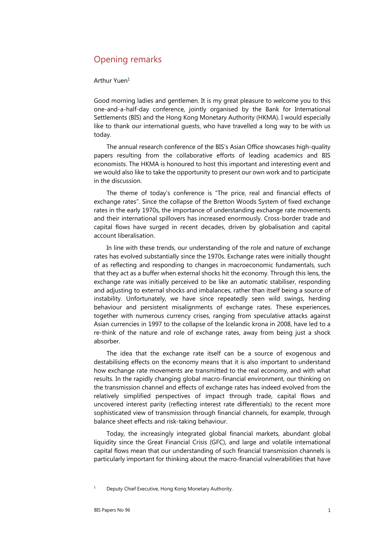## Opening remarks

## Arthur Yuen1

Good morning ladies and gentlemen. It is my great pleasure to welcome you to this one-and-a-half-day conference, jointly organised by the Bank for International Settlements (BIS) and the Hong Kong Monetary Authority (HKMA). I would especially like to thank our international guests, who have travelled a long way to be with us today.

The annual research conference of the BIS's Asian Office showcases high-quality papers resulting from the collaborative efforts of leading academics and BIS economists. The HKMA is honoured to host this important and interesting event and we would also like to take the opportunity to present our own work and to participate in the discussion.

The theme of today's conference is "The price, real and financial effects of exchange rates". Since the collapse of the Bretton Woods System of fixed exchange rates in the early 1970s, the importance of understanding exchange rate movements and their international spillovers has increased enormously. Cross-border trade and capital flows have surged in recent decades, driven by globalisation and capital account liberalisation.

In line with these trends, our understanding of the role and nature of exchange rates has evolved substantially since the 1970s. Exchange rates were initially thought of as reflecting and responding to changes in macroeconomic fundamentals, such that they act as a buffer when external shocks hit the economy. Through this lens, the exchange rate was initially perceived to be like an automatic stabiliser, responding and adjusting to external shocks and imbalances, rather than itself being a source of instability. Unfortunately, we have since repeatedly seen wild swings, herding behaviour and persistent misalignments of exchange rates. These experiences, together with numerous currency crises, ranging from speculative attacks against Asian currencies in 1997 to the collapse of the Icelandic krona in 2008, have led to a re-think of the nature and role of exchange rates, away from being just a shock absorber.

The idea that the exchange rate itself can be a source of exogenous and destabilising effects on the economy means that it is also important to understand how exchange rate movements are transmitted to the real economy, and with what results. In the rapidly changing global macro-financial environment, our thinking on the transmission channel and effects of exchange rates has indeed evolved from the relatively simplified perspectives of impact through trade, capital flows and uncovered interest parity (reflecting interest rate differentials) to the recent more sophisticated view of transmission through financial channels, for example, through balance sheet effects and risk-taking behaviour.

Today, the increasingly integrated global financial markets, abundant global liquidity since the Great Financial Crisis (GFC), and large and volatile international capital flows mean that our understanding of such financial transmission channels is particularly important for thinking about the macro-financial vulnerabilities that have

<sup>1</sup> Deputy Chief Executive, Hong Kong Monetary Authority.